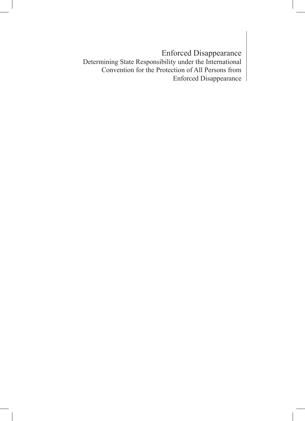Enforced Disappearance Determining State Responsibility under the International Convention for the Protection of All Persons from Enforced Disappearance

1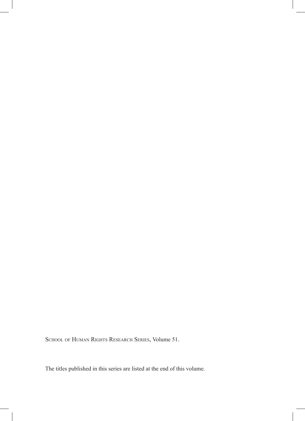SCHOOL OF HUMAN RIGHTS RESEARCH SERIES, Volume 51.

The titles published in this series are listed at the end of this volume.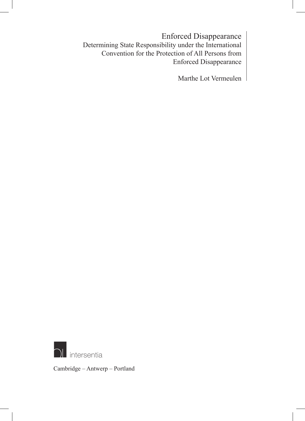Enforced Disappearance Determining State Responsibility under the International Convention for the Protection of All Persons from Enforced Disappearance

Marthe Lot Vermeulen



Cambridge – Antwerp – Portland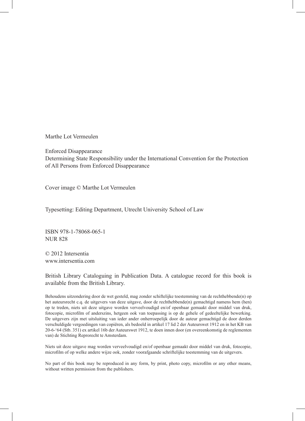Marthe Lot Vermeulen

Enforced Disappearance Determining State Responsibility under the International Convention for the Protection of All Persons from Enforced Disappearance

Cover image © Marthe Lot Vermeulen

Typesetting: Editing Department, Utrecht University School of Law

ISBN 978-1-78068-065-1 NUR 828

© 2012 Intersentia www.intersentia.com

British Library Cataloguing in Publication Data. A catalogue record for this book is available from the British Library.

Behoudens uitzondering door de wet gesteld, mag zonder schiftelijke toestemming van de rechthebbende(n) op het auteursrecht c.q. de uitgevers van deze uitgave, door de rechthebbende(n) gemachtigd namens hem (hen) op te treden, niets uit deze uitgave worden verveelvoudigd en/of openbaar gemaakt door middel van druk, fotocopie, microfilm of anderszins, hetgeen ook van toepassing is op de gehele of gedeeltelijke bewerking. De uitgevers zijn met uitsluiting van ieder ander onherroepelijk door de auteur gemachtigd de door derden verschuldigde vergoedingen van copiëren, als bedoeld in artikel 17 lid 2 der Auteurswet 1912 en in het KB van 20-6-'64 (Stb. 351) ex artikel 16b der Auteurswet 1912, te doen innen door (en overeenkomstig de reglementen van) de Stichting Reprorecht te Amsterdam.

Niets uit deze uitgave mag worden verveelvoudigd en/of openbaar gemaakt door middel van druk, fotocopie, microfilm of op welke andere wijze ook, zonder voorafgaande schriftelijke toestemming van de uitgevers.

No part of this book may be reproduced in any form, by print, photo copy, microfilm or any other means, without written permission from the publishers.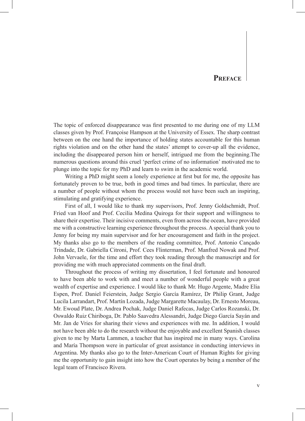### **Preface**

The topic of enforced disappearance was first presented to me during one of my LLM classes given by Prof. Françoise Hampson at the University of Essex. The sharp contrast between on the one hand the importance of holding states accountable for this human rights violation and on the other hand the states' attempt to cover-up all the evidence, including the disappeared person him or herself, intrigued me from the beginning.The numerous questions around this cruel 'perfect crime of no information' motivated me to plunge into the topic for my PhD and learn to swim in the academic world.

Writing a PhD might seem a lonely experience at first but for me, the opposite has fortunately proven to be true, both in good times and bad times. In particular, there are a number of people without whom the process would not have been such an inspiring, stimulating and gratifying experience.

First of all, I would like to thank my supervisors, Prof. Jenny Goldschmidt, Prof. Fried van Hoof and Prof. Cecilia Medina Quiroga for their support and willingness to share their expertise. Their incisive comments, even from across the ocean, have provided me with a constructive learning experience throughout the process. A special thank you to Jenny for being my main supervisor and for her encouragement and faith in the project. My thanks also go to the members of the reading committee, Prof. Antonio Cançado Trindade, Dr. Gabriella Citroni, Prof. Cees Flinterman, Prof. Manfred Nowak and Prof. John Vervaele, for the time and effort they took reading through the manuscript and for providing me with much appreciated comments on the final draft.

Throughout the process of writing my dissertation, I feel fortunate and honoured to have been able to work with and meet a number of wonderful people with a great wealth of expertise and experience. I would like to thank Mr. Hugo Argente, Madre Elia Espen, Prof. Daniel Feierstein, Judge Sergio García Ramírez, Dr Philip Grant, Judge Lucila Larrandart, Prof. Martín Lozada, Judge Margarette Macaulay, Dr. Ernesto Moreau, Mr. Ewoud Plate, Dr. Andrea Pochak, Judge Daniel Rafecas, Judge Carlos Rozanski, Dr. Oswaldo Ruiz Chiriboga, Dr. Pablo Saavedra Alessandri, Judge Diego García Sayán and Mr. Jan de Vries for sharing their views and experiences with me. In addition, I would not have been able to do the research without the enjoyable and excellent Spanish classes given to me by Marta Lammen, a teacher that has inspired me in many ways. Carolina and María Thompson were in particular of great assistance in conducting interviews in Argentina. My thanks also go to the Inter-American Court of Human Rights for giving me the opportunity to gain insight into how the Court operates by being a member of the legal team of Francisco Rivera.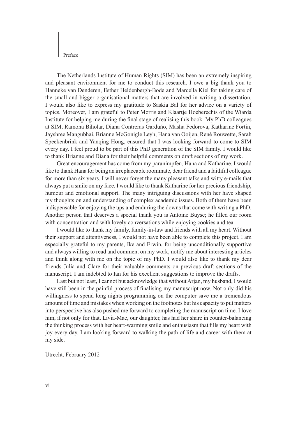Preface

The Netherlands Institute of Human Rights (SIM) has been an extremely inspiring and pleasant environment for me to conduct this research. I owe a big thank you to Hanneke van Denderen, Esther Heldenbergh-Bode and Marcella Kiel for taking care of the small and bigger organisational matters that are involved in writing a dissertation. I would also like to express my gratitude to Saskia Bal for her advice on a variety of topics. Moreover, I am grateful to Peter Morris and Klaartje Hoeberechts of the Wiarda Institute for helping me during the final stage of realising this book. My PhD colleagues at SIM, Ramona Biholar, Diana Contreras Garduño, Masha Fedorova, Katharine Fortin, Jayshree Mangubhai, Brianne McGonigle Leyh, Hana van Ooijen, René Rouwette, Sarah Speekenbrink and Yanqing Hong, ensured that I was looking forward to come to SIM every day. I feel proud to be part of this PhD generation of the SIM family. I would like to thank Brianne and Diana for their helpful comments on draft sections of my work.

Great encouragement has come from my paranimpfen, Hana and Katharine. I would like to thank Hana for being an irreplaceable roommate, dear friend and a faithful colleague for more than six years. I will never forget the many pleasant talks and witty e-mails that always put a smile on my face. I would like to thank Katharine for her precious friendship, humour and emotional support. The many intriguing discussions with her have shaped my thoughts on and understanding of complex academic issues. Both of them have been indispensable for enjoying the ups and enduring the downs that come with writing a PhD. Another person that deserves a special thank you is Antoine Buyse; he filled our room with concentration and with lovely conversations while enjoying cookies and tea.

I would like to thank my family, family-in-law and friends with all my heart. Without their support and attentiveness, I would not have been able to complete this project. I am especially grateful to my parents, Ike and Erwin, for being unconditionally supportive and always willing to read and comment on my work, notify me about interesting articles and think along with me on the topic of my PhD. I would also like to thank my dear friends Julia and Clare for their valuable comments on previous draft sections of the manuscript. I am indebted to Ian for his excellent suggestions to improve the drafts.

Last but not least, I cannot but acknowledge that without Arjan, my husband, I would have still been in the painful process of finalising my manuscript now. Not only did his willingness to spend long nights programming on the computer save me a tremendous amount of time and mistakes when working on the footnotes but his capacity to put matters into perspective has also pushed me forward to completing the manuscript on time. I love him, if not only for that. Livia-Mae, our daughter, has had her share in counter-balancing the thinking process with her heart-warming smile and enthusiasm that fills my heart with joy every day. I am looking forward to walking the path of life and career with them at my side.

Utrecht, February 2012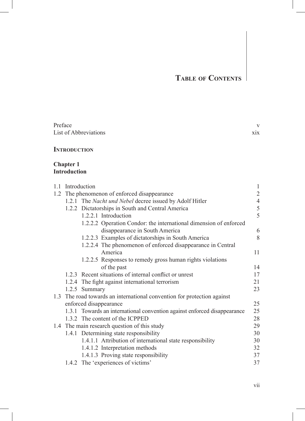| Preface               |     |
|-----------------------|-----|
| List of Abbreviations | X1X |

#### **Introduction**

#### **Chapter 1 Introduction**

|  | 1.1 Introduction                                                         | $\mathbf{1}$   |
|--|--------------------------------------------------------------------------|----------------|
|  | 1.2 The phenomenon of enforced disappearance                             | $\overline{2}$ |
|  | 1.2.1 The Nacht und Nebel decree issued by Adolf Hitler                  | $\overline{4}$ |
|  | 1.2.2 Dictatorships in South and Central America                         | 5              |
|  | 1.2.2.1 Introduction                                                     | 5              |
|  | 1.2.2.2 Operation Condor: the international dimension of enforced        |                |
|  | disappearance in South America                                           | 6              |
|  | 1.2.2.3 Examples of dictatorships in South America                       | 8              |
|  | 1.2.2.4 The phenomenon of enforced disappearance in Central              |                |
|  | America                                                                  | 11             |
|  | 1.2.2.5 Responses to remedy gross human rights violations                |                |
|  | of the past                                                              | 14             |
|  | 1.2.3 Recent situations of internal conflict or unrest                   | 17             |
|  | 1.2.4 The fight against international terrorism                          | 21             |
|  | 1.2.5 Summary                                                            | 23             |
|  | 1.3 The road towards an international convention for protection against  |                |
|  | enforced disappearance                                                   | 25             |
|  | 1.3.1 Towards an international convention against enforced disappearance | 25             |
|  | 1.3.2 The content of the ICPPED                                          | 28             |
|  | 1.4 The main research question of this study                             | 29             |
|  | 1.4.1 Determining state responsibility                                   | 30             |
|  | 1.4.1.1 Attribution of international state responsibility                | 30             |
|  | 1.4.1.2 Interpretation methods                                           | 32             |
|  | 1.4.1.3 Proving state responsibility                                     | 37             |
|  | 1.4.2 The 'experiences of victims'                                       | 37             |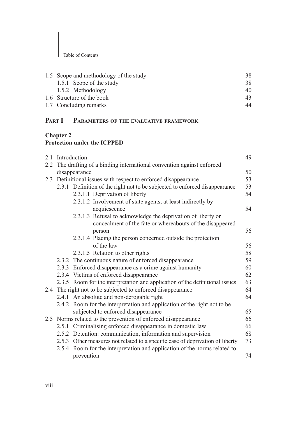| 1.5 Scope and methodology of the study | 38 |
|----------------------------------------|----|
| 1.5.1 Scope of the study               | 38 |
| 1.5.2 Methodology                      | 40 |
| 1.6 Structure of the book              | 43 |
| 1.7 Concluding remarks                 | 44 |

## **Part I Parameters of the evaluative framework**

#### **Chapter 2 Protection under the ICPPED**

| 2.1 | Introduction                                                                  | 49 |
|-----|-------------------------------------------------------------------------------|----|
| 2.2 | The drafting of a binding international convention against enforced           |    |
|     | disappearance                                                                 | 50 |
| 2.3 | Definitional issues with respect to enforced disappearance                    | 53 |
|     | 2.3.1 Definition of the right not to be subjected to enforced disappearance   | 53 |
|     | 2.3.1.1 Deprivation of liberty                                                | 54 |
|     | 2.3.1.2 Involvement of state agents, at least indirectly by                   |    |
|     | acquiescence                                                                  | 54 |
|     | 2.3.1.3 Refusal to acknowledge the deprivation of liberty or                  |    |
|     | concealment of the fate or whereabouts of the disappeared                     |    |
|     | person                                                                        | 56 |
|     | 2.3.1.4 Placing the person concerned outside the protection                   |    |
|     | of the law                                                                    | 56 |
|     | 2.3.1.5 Relation to other rights                                              | 58 |
|     | 2.3.2 The continuous nature of enforced disappearance                         | 59 |
|     | 2.3.3 Enforced disappearance as a crime against humanity                      | 60 |
|     | 2.3.4 Victims of enforced disappearance                                       | 62 |
|     | 2.3.5 Room for the interpretation and application of the definitional issues  | 63 |
|     | 2.4 The right not to be subjected to enforced disappearance                   | 64 |
|     | 2.4.1 An absolute and non-derogable right                                     | 64 |
|     | 2.4.2 Room for the interpretation and application of the right not to be      |    |
|     | subjected to enforced disappearance                                           | 65 |
|     | 2.5 Norms related to the prevention of enforced disappearance                 | 66 |
|     | 2.5.1 Criminalising enforced disappearance in domestic law                    | 66 |
|     | 2.5.2 Detention: communication, information and supervision                   | 68 |
|     | 2.5.3 Other measures not related to a specific case of deprivation of liberty | 73 |
|     | 2.5.4 Room for the interpretation and application of the norms related to     |    |
|     | prevention                                                                    | 74 |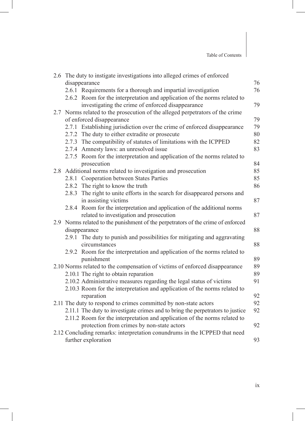|     | 2.6 The duty to instigate investigations into alleged crimes of enforced                                                                                     |    |
|-----|--------------------------------------------------------------------------------------------------------------------------------------------------------------|----|
|     | disappearance                                                                                                                                                | 76 |
|     | 2.6.1 Requirements for a thorough and impartial investigation<br>2.6.2 Room for the interpretation and application of the norms related to                   | 76 |
|     | investigating the crime of enforced disappearance                                                                                                            | 79 |
| 2.7 | Norms related to the prosecution of the alleged perpetrators of the crime                                                                                    |    |
|     | of enforced disappearance                                                                                                                                    | 79 |
|     | 2.7.1 Establishing jurisdiction over the crime of enforced disappearance                                                                                     | 79 |
|     | 2.7.2 The duty to either extradite or prosecute                                                                                                              | 80 |
|     | 2.7.3 The compatibility of statutes of limitations with the ICPPED                                                                                           | 82 |
|     | 2.7.4 Amnesty laws: an unresolved issue                                                                                                                      | 83 |
|     | 2.7.5 Room for the interpretation and application of the norms related to<br>prosecution                                                                     | 84 |
|     | 2.8 Additional norms related to investigation and prosecution                                                                                                | 85 |
|     | 2.8.1 Cooperation between States Parties                                                                                                                     | 85 |
|     | 2.8.2 The right to know the truth                                                                                                                            | 86 |
|     | 2.8.3 The right to unite efforts in the search for disappeared persons and                                                                                   |    |
|     | in assisting victims                                                                                                                                         | 87 |
|     | 2.8.4 Room for the interpretation and application of the additional norms                                                                                    |    |
|     | related to investigation and prosecution                                                                                                                     | 87 |
|     | 2.9 Norms related to the punishment of the perpetrators of the crime of enforced                                                                             |    |
|     | disappearance                                                                                                                                                | 88 |
|     | 2.9.1 The duty to punish and possibilities for mitigating and aggravating                                                                                    |    |
|     | circumstances                                                                                                                                                | 88 |
|     | 2.9.2 Room for the interpretation and application of the norms related to                                                                                    |    |
|     | punishment                                                                                                                                                   | 89 |
|     | 2.10 Norms related to the compensation of victims of enforced disappearance                                                                                  | 89 |
|     | 2.10.1 The right to obtain reparation                                                                                                                        | 89 |
|     | 2.10.2 Administrative measures regarding the legal status of victims                                                                                         | 91 |
|     | 2.10.3 Room for the interpretation and application of the norms related to                                                                                   |    |
|     | reparation                                                                                                                                                   | 92 |
|     | 2.11 The duty to respond to crimes committed by non-state actors                                                                                             | 92 |
|     | 2.11.1 The duty to investigate crimes and to bring the perpetrators to justice<br>2.11.2 Room for the interpretation and application of the norms related to | 92 |
|     | protection from crimes by non-state actors                                                                                                                   | 92 |
|     | 2.12 Concluding remarks: interpretation conundrums in the ICPPED that need                                                                                   |    |
|     | further exploration                                                                                                                                          | 93 |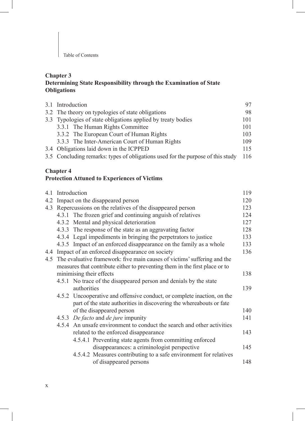#### **Chapter 3 Determining State Responsibility through the Examination of State Obligations**

| 3.1 Introduction                                                                |     |
|---------------------------------------------------------------------------------|-----|
| 3.2 The theory on typologies of state obligations                               | 98  |
| 3.3 Typologies of state obligations applied by treaty bodies                    | 101 |
| 3.3.1 The Human Rights Committee                                                | 101 |
| 3.3.2 The European Court of Human Rights                                        | 103 |
| 3.3.3 The Inter-American Court of Human Rights                                  | 109 |
| 3.4 Obligations laid down in the ICPPED                                         | 115 |
| 3.5 Concluding remarks: types of obligations used for the purpose of this study | 116 |

#### **Chapter 4**

### **Protection Attuned to Experiences of Victims**

|     | 4.1 Introduction                                                             | 119 |
|-----|------------------------------------------------------------------------------|-----|
| 4.2 | Impact on the disappeared person                                             | 120 |
| 4.3 | Repercussions on the relatives of the disappeared person                     | 123 |
|     | 4.3.1 The frozen grief and continuing anguish of relatives                   | 124 |
|     | 4.3.2 Mental and physical deterioration                                      | 127 |
|     | 4.3.3 The response of the state as an aggravating factor                     | 128 |
|     | 4.3.4 Legal impediments in bringing the perpetrators to justice              | 133 |
|     | 4.3.5 Impact of an enforced disappearance on the family as a whole           | 133 |
| 4.4 | Impact of an enforced disappearance on society                               | 136 |
|     | 4.5 The evaluative framework: five main causes of victims' suffering and the |     |
|     | measures that contribute either to preventing them in the first place or to  |     |
|     | minimising their effects                                                     | 138 |
|     | 4.5.1 No trace of the disappeared person and denials by the state            |     |
|     | authorities                                                                  | 139 |
|     | 4.5.2 Uncooperative and offensive conduct, or complete inaction, on the      |     |
|     | part of the state authorities in discovering the whereabouts or fate         |     |
|     | of the disappeared person                                                    | 140 |
|     | 4.5.3 De facto and de jure impunity                                          | 141 |
|     | 4.5.4 An unsafe environment to conduct the search and other activities       |     |
|     | related to the enforced disappearance                                        | 143 |
|     | 4.5.4.1 Preventing state agents from committing enforced                     |     |
|     | disappearances: a criminologist perspective                                  | 145 |
|     | 4.5.4.2 Measures contributing to a safe environment for relatives            |     |
|     | of disappeared persons                                                       | 148 |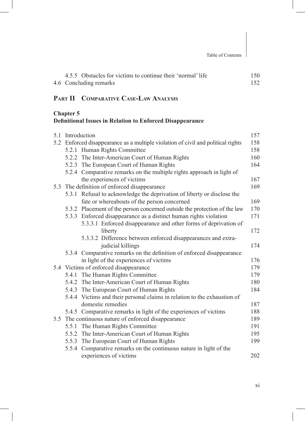| 4.5.5 Obstacles for victims to continue their 'normal' life | 150 |
|-------------------------------------------------------------|-----|
| 4.6 Concluding remarks                                      |     |

## **Part II Comparative Case-Law Analysis**

## **Chapter 5**

## **Definitional Issues in Relation to Enforced Disappearance**

| 5.1 | Introduction                                                                     | 157 |
|-----|----------------------------------------------------------------------------------|-----|
|     | 5.2 Enforced disappearance as a multiple violation of civil and political rights | 158 |
|     | 5.2.1 Human Rights Committee                                                     | 158 |
|     | 5.2.2 The Inter-American Court of Human Rights                                   | 160 |
|     | 5.2.3 The European Court of Human Rights                                         | 164 |
|     | 5.2.4 Comparative remarks on the multiple rights approach in light of            |     |
|     | the experiences of victims                                                       | 167 |
|     | 5.3 The definition of enforced disappearance                                     | 169 |
|     | 5.3.1 Refusal to acknowledge the deprivation of liberty or disclose the          |     |
|     | fate or whereabouts of the person concerned                                      | 169 |
|     | 5.3.2 Placement of the person concerned outside the protection of the law        | 170 |
|     | 5.3.3 Enforced disappearance as a distinct human rights violation                | 171 |
|     | 5.3.3.1 Enforced disappearance and other forms of deprivation of                 |     |
|     | liberty                                                                          | 172 |
|     | 5.3.3.2 Difference between enforced disappearances and extra-                    |     |
|     | judicial killings                                                                | 174 |
|     | 5.3.4 Comparative remarks on the definition of enforced disappearance            |     |
|     | in light of the experiences of victims                                           | 176 |
|     | 5.4 Victims of enforced disappearance                                            | 179 |
|     | 5.4.1 The Human Rights Committee                                                 | 179 |
|     | 5.4.2 The Inter-American Court of Human Rights                                   | 180 |
|     | 5.4.3 The European Court of Human Rights                                         | 184 |
|     | 5.4.4 Victims and their personal claims in relation to the exhaustion of         |     |
|     | domestic remedies                                                                | 187 |
|     | 5.4.5 Comparative remarks in light of the experiences of victims                 | 188 |
|     | 5.5 The continuous nature of enforced disappearance                              | 189 |
|     | 5.5.1 The Human Rights Committee                                                 | 191 |
|     | 5.5.2 The Inter-American Court of Human Rights                                   | 195 |
|     | 5.5.3 The European Court of Human Rights                                         | 199 |
|     | 5.5.4 Comparative remarks on the continuous nature in light of the               |     |
|     | experiences of victims                                                           | 202 |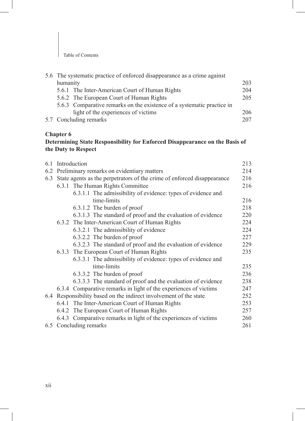|                                     | 203                                                                                                                                                                                                                                                                                    |
|-------------------------------------|----------------------------------------------------------------------------------------------------------------------------------------------------------------------------------------------------------------------------------------------------------------------------------------|
|                                     | 204                                                                                                                                                                                                                                                                                    |
|                                     | 205                                                                                                                                                                                                                                                                                    |
|                                     |                                                                                                                                                                                                                                                                                        |
| light of the experiences of victims | 206                                                                                                                                                                                                                                                                                    |
|                                     | 207                                                                                                                                                                                                                                                                                    |
|                                     | 5.6 The systematic practice of enforced disappearance as a crime against<br>humanity<br>5.6.1 The Inter-American Court of Human Rights<br>5.6.2 The European Court of Human Rights<br>5.6.3 Comparative remarks on the existence of a systematic practice in<br>5.7 Concluding remarks |

### **Chapter 6**

#### **Determining State Responsibility for Enforced Disappearance on the Basis of the Duty to Respect**

| 6.1 | Introduction                                                            | 213 |
|-----|-------------------------------------------------------------------------|-----|
| 6.2 | Preliminary remarks on evidentiary matters                              | 214 |
| 6.3 | State agents as the perpetrators of the crime of enforced disappearance | 216 |
|     | 6.3.1 The Human Rights Committee                                        | 216 |
|     | 6.3.1.1 The admissibility of evidence: types of evidence and            |     |
|     | time-limits                                                             | 216 |
|     | 6.3.1.2 The burden of proof                                             | 218 |
|     | 6.3.1.3 The standard of proof and the evaluation of evidence            | 220 |
|     | 6.3.2 The Inter-American Court of Human Rights                          | 224 |
|     | 6.3.2.1 The admissibility of evidence                                   | 224 |
|     | 6.3.2.2 The burden of proof                                             | 227 |
|     | 6.3.2.3 The standard of proof and the evaluation of evidence            | 229 |
|     | 6.3.3 The European Court of Human Rights                                | 235 |
|     | 6.3.3.1 The admissibility of evidence: types of evidence and            |     |
|     | time-limits                                                             | 235 |
|     | 6.3.3.2 The burden of proof                                             | 236 |
|     | 6.3.3.3 The standard of proof and the evaluation of evidence            | 238 |
|     | 6.3.4 Comparative remarks in light of the experiences of victims        | 247 |
|     | 6.4 Responsibility based on the indirect involvement of the state       | 252 |
|     | 6.4.1 The Inter-American Court of Human Rights                          | 253 |
|     | 6.4.2 The European Court of Human Rights                                | 257 |
|     | 6.4.3 Comparative remarks in light of the experiences of victims        | 260 |
|     | 6.5 Concluding remarks                                                  | 261 |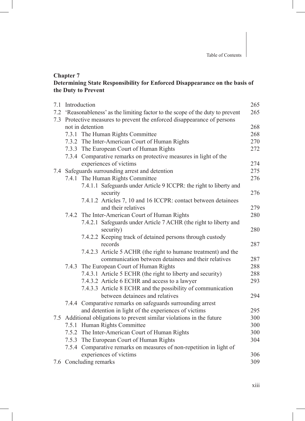#### **Chapter 7 Determining State Responsibility for Enforced Disappearance on the basis of the Duty to Prevent**

| 7.1 | Introduction                                                                                  | 265 |
|-----|-----------------------------------------------------------------------------------------------|-----|
|     | 7.2 'Reasonableness' as the limiting factor to the scope of the duty to prevent               | 265 |
| 7.3 | Protective measures to prevent the enforced disappearance of persons                          |     |
|     | not in detention                                                                              | 268 |
|     | 7.3.1 The Human Rights Committee                                                              | 268 |
|     | 7.3.2 The Inter-American Court of Human Rights                                                | 270 |
|     | 7.3.3 The European Court of Human Rights                                                      | 272 |
|     | 7.3.4 Comparative remarks on protective measures in light of the                              |     |
|     | experiences of victims                                                                        | 274 |
|     | 7.4 Safeguards surrounding arrest and detention                                               | 275 |
|     | 7.4.1 The Human Rights Committee                                                              | 276 |
|     | 7.4.1.1 Safeguards under Article 9 ICCPR: the right to liberty and                            |     |
|     | security                                                                                      | 276 |
|     | 7.4.1.2 Articles 7, 10 and 16 ICCPR: contact between detainees                                |     |
|     | and their relatives                                                                           | 279 |
|     | 7.4.2 The Inter-American Court of Human Rights                                                | 280 |
|     | 7.4.2.1 Safeguards under Article 7 ACHR (the right to liberty and                             |     |
|     | security)                                                                                     | 280 |
|     | 7.4.2.2 Keeping track of detained persons through custody                                     |     |
|     | records                                                                                       | 287 |
|     | 7.4.2.3 Article 5 ACHR (the right to humane treatment) and the                                |     |
|     | communication between detainees and their relatives                                           | 287 |
|     | 7.4.3 The European Court of Human Rights                                                      | 288 |
|     | 7.4.3.1 Article 5 ECHR (the right to liberty and security)                                    | 288 |
|     | 7.4.3.2 Article 6 ECHR and access to a lawyer                                                 | 293 |
|     | 7.4.3.3 Article 8 ECHR and the possibility of communication                                   |     |
|     | between detainees and relatives                                                               | 294 |
|     | 7.4.4 Comparative remarks on safeguards surrounding arrest                                    |     |
|     | and detention in light of the experiences of victims                                          | 295 |
|     | 7.5 Additional obligations to prevent similar violations in the future                        | 300 |
|     | 7.5.1 Human Rights Committee                                                                  | 300 |
|     | 7.5.2 The Inter-American Court of Human Rights                                                | 300 |
|     |                                                                                               |     |
|     | 7.5.3 The European Court of Human Rights                                                      | 304 |
|     | 7.5.4 Comparative remarks on measures of non-repetition in light of<br>experiences of victims | 306 |

7.6 Concluding remarks 309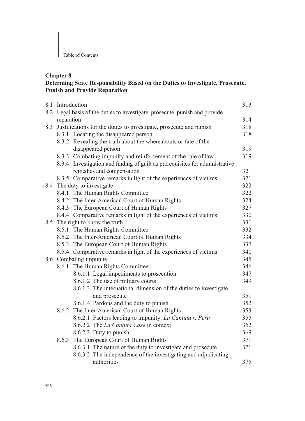## **Chapter 8**

### **Determing State Responsibility Based on the Duties to Investigate, Prosecute, Punish and Provide Reparation**

|     | 8.1 Introduction<br>313                                                     |                                                                              |     |
|-----|-----------------------------------------------------------------------------|------------------------------------------------------------------------------|-----|
|     | 8.2 Legal basis of the duties to investigate, prosecute, punish and provide |                                                                              |     |
|     | reparation                                                                  |                                                                              | 314 |
| 8.3 | Justifications for the duties to investigate, prosecute and punish          |                                                                              | 318 |
|     |                                                                             | 8.3.1 Locating the disappeared person                                        | 318 |
|     |                                                                             | 8.3.2 Revealing the truth about the whereabouts or fate of the               |     |
|     |                                                                             | disappeared person                                                           | 319 |
|     |                                                                             | 8.3.3 Combating impunity and reinforcement of the rule of law                | 319 |
|     |                                                                             | 8.3.4 Investigation and finding of guilt as prerequisites for administrative |     |
|     |                                                                             | remedies and compensation                                                    | 321 |
|     |                                                                             | 8.3.5 Comparative remarks in light of the experiences of victims             | 321 |
|     |                                                                             | 8.4 The duty to investigate                                                  | 322 |
|     |                                                                             | 8.4.1 The Human Rights Committee                                             | 322 |
|     |                                                                             | 8.4.2 The Inter-American Court of Human Rights                               | 324 |
|     |                                                                             | 8.4.3 The European Court of Human Rights                                     | 327 |
|     |                                                                             | 8.4.4 Comparative remarks in light of the experiences of victims             | 330 |
|     | 8.5 The right to know the truth                                             |                                                                              | 331 |
|     |                                                                             | 8.5.1 The Human Rights Committee                                             | 332 |
|     |                                                                             | 8.5.2 The Inter-American Court of Human Rights                               | 334 |
|     |                                                                             | 8.5.3 The European Court of Human Rights                                     | 337 |
|     |                                                                             | 8.5.4 Comparative remarks in light of the experiences of victims             | 340 |
|     | 8.6 Combating impunity                                                      |                                                                              | 345 |
|     |                                                                             | 8.6.1 The Human Rights Committee                                             | 346 |
|     |                                                                             | 8.6.1.1 Legal impediments to prosecution                                     | 347 |
|     |                                                                             | 8.6.1.2 The use of military courts                                           | 349 |
|     |                                                                             | 8.6.1.3 The international dimension of the duties to investigate             |     |
|     |                                                                             | and prosecute                                                                | 351 |
|     |                                                                             | 8.6.1.4 Pardons and the duty to punish                                       | 352 |
|     | 8.6.2                                                                       | The Inter-American Court of Human Rights                                     | 353 |
|     |                                                                             | 8.6.2.1 Factors leading to impunity: La Cantuta v. Peru                      | 355 |
|     |                                                                             | 8.6.2.2 The La Cantuta Case in context                                       | 362 |
|     |                                                                             | 8.6.2.3 Duty to punish                                                       | 369 |
|     | 8.6.3                                                                       | The European Court of Human Rights                                           | 371 |
|     |                                                                             | 8.6.3.1 The nature of the duty to investigate and prosecute                  | 371 |
|     |                                                                             | 8.6.3.2 The independence of the investigating and adjudicating               |     |
|     |                                                                             | authorities                                                                  | 375 |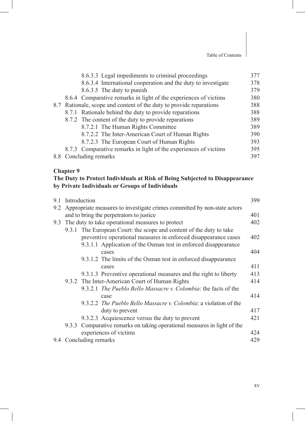|                                                                     | 8.6.3.3 Legal impediments to criminal proceedings                | 377 |
|---------------------------------------------------------------------|------------------------------------------------------------------|-----|
|                                                                     | 8.6.3.4 International cooperation and the duty to investigate    | 378 |
|                                                                     | 8.6.3.5 The duty to punish                                       | 379 |
|                                                                     | 8.6.4 Comparative remarks in light of the experiences of victims | 380 |
| 8.7 Rationale, scope and content of the duty to provide reparations |                                                                  | 388 |
|                                                                     | 8.7.1 Rationale behind the duty to provide reparations           | 388 |
|                                                                     | 8.7.2 The content of the duty to provide reparations             | 389 |
|                                                                     | 8.7.2.1 The Human Rights Committee                               | 389 |
|                                                                     | 8.7.2.2 The Inter-American Court of Human Rights                 | 390 |
|                                                                     | 8.7.2.3 The European Court of Human Rights                       | 393 |
|                                                                     | 8.7.3 Comparative remarks in light of the experiences of victims | 395 |
|                                                                     | 8.8 Concluding remarks                                           | 397 |

#### **Chapter 9**

#### **The Duty to Protect Individuals at Risk of Being Subjected to Disappearance by Private Individuals or Groups of Individuals**

| 9.1 | Introduction                                                             |                                                                          | 399 |
|-----|--------------------------------------------------------------------------|--------------------------------------------------------------------------|-----|
| 9.2 | Appropriate measures to investigate crimes committed by non-state actors |                                                                          |     |
|     | and to bring the perpetrators to justice                                 |                                                                          | 401 |
|     | 9.3 The duty to take operational measures to protect                     |                                                                          | 402 |
|     |                                                                          | 9.3.1 The European Court: the scope and content of the duty to take      |     |
|     |                                                                          | preventive operational measures in enforced disappearance cases          | 402 |
|     |                                                                          | 9.3.1.1 Application of the Osman test in enforced disappearance          |     |
|     |                                                                          | cases                                                                    | 404 |
|     |                                                                          | 9.3.1.2 The limits of the Osman test in enforced disappearance           |     |
|     |                                                                          | cases                                                                    | 411 |
|     |                                                                          | 9.3.1.3 Preventive operational measures and the right to liberty         | 413 |
|     |                                                                          | 9.3.2 The Inter-American Court of Human Rights                           | 414 |
|     |                                                                          | 9.3.2.1 <i>The Pueblo Bello Massacre v. Colombia:</i> the facts of the   |     |
|     |                                                                          | case                                                                     | 414 |
|     |                                                                          | 9.3.2.2 The Pueblo Bello Massacre v. Colombia: a violation of the        |     |
|     |                                                                          | duty to prevent                                                          | 417 |
|     |                                                                          | 9.3.2.3 Acquiescence versus the duty to prevent                          | 421 |
|     |                                                                          | 9.3.3 Comparative remarks on taking operational measures in light of the |     |
|     |                                                                          | experiences of victims                                                   | 424 |
|     | 9.4 Concluding remarks                                                   |                                                                          | 429 |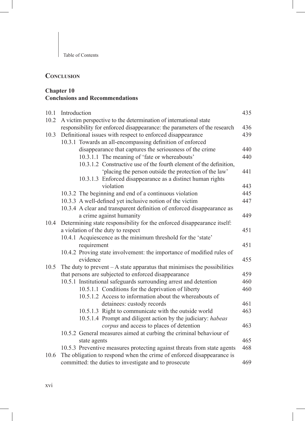## **Conclusion**

#### **Chapter 10 Conclusions and Recommendations**

| 10.1 | Introduction                                                              | 435 |
|------|---------------------------------------------------------------------------|-----|
| 10.2 | A victim perspective to the determination of international state          |     |
|      | responsibility for enforced disappearance: the parameters of the research | 436 |
| 10.3 | Definitional issues with respect to enforced disappearance                |     |
|      | 10.3.1 Towards an all-encompassing definition of enforced                 |     |
|      | disappearance that captures the seriousness of the crime                  | 440 |
|      | 10.3.1.1 The meaning of 'fate or whereabouts'                             | 440 |
|      | 10.3.1.2 Constructive use of the fourth element of the definition,        |     |
|      | 'placing the person outside the protection of the law'                    | 441 |
|      | 10.3.1.3 Enforced disappearance as a distinct human rights                |     |
|      | violation                                                                 | 443 |
|      | 10.3.2 The beginning and end of a continuous violation                    | 445 |
|      | 10.3.3 A well-defined yet inclusive notion of the victim                  | 447 |
|      | 10.3.4 A clear and transparent definition of enforced disappearance as    |     |
|      | a crime against humanity                                                  | 449 |
| 10.4 | Determining state responsibility for the enforced disappearance itself:   |     |
|      | a violation of the duty to respect                                        | 451 |
|      | 10.4.1 Acquiescence as the minimum threshold for the 'state'              |     |
|      | requirement                                                               | 451 |
|      | 10.4.2 Proving state involvement: the importance of modified rules of     |     |
|      | evidence                                                                  | 455 |
| 10.5 | The duty to prevent $-A$ state apparatus that minimises the possibilities |     |
|      | that persons are subjected to enforced disappearance                      |     |
|      | 10.5.1 Institutional safeguards surrounding arrest and detention          | 460 |
|      | 10.5.1.1 Conditions for the deprivation of liberty                        | 460 |
|      | 10.5.1.2 Access to information about the whereabouts of                   |     |
|      | detainees: custody records                                                | 461 |
|      | 10.5.1.3 Right to communicate with the outside world                      | 463 |
|      | 10.5.1.4 Prompt and diligent action by the judiciary: habeas              |     |
|      | corpus and access to places of detention                                  | 463 |
|      | 10.5.2 General measures aimed at curbing the criminal behaviour of        |     |
|      | state agents                                                              | 465 |
|      | 10.5.3 Preventive measures protecting against threats from state agents   | 468 |
| 10.6 | The obligation to respond when the crime of enforced disappearance is     |     |
|      | committed: the duties to investigate and to prosecute                     | 469 |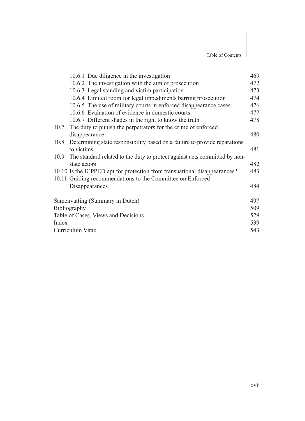|       | 10.6.1 Due diligence in the investigation                                       | 469 |
|-------|---------------------------------------------------------------------------------|-----|
|       | 10.6.2 The investigation with the aim of prosecution                            | 472 |
|       | 10.6.3 Legal standing and victim participation                                  | 473 |
|       | 10.6.4 Limited room for legal impediments barring prosecution                   | 474 |
|       | 10.6.5 The use of military courts in enforced disappearance cases               | 476 |
|       | 10.6.6 Evaluation of evidence in domestic courts                                | 477 |
|       | 10.6.7 Different shades in the right to know the truth                          | 478 |
|       | 10.7 The duty to punish the perpetrators for the crime of enforced              |     |
|       | disappearance                                                                   | 480 |
|       | 10.8 Determining state responsibility based on a failure to provide reparations |     |
|       | to victims                                                                      | 481 |
|       | 10.9 The standard related to the duty to protect against acts committed by non- |     |
|       | state actors                                                                    | 482 |
|       | 10.10 Is the ICPPED apt for protection from transnational disappearances?       | 483 |
|       | 10.11 Guiding recommendations to the Committee on Enforced                      |     |
|       | Disappearances                                                                  | 484 |
|       | Samenvatting (Summary in Dutch)                                                 | 497 |
|       | Bibliography                                                                    | 509 |
|       | Table of Cases, Views and Decisions                                             | 529 |
| Index |                                                                                 | 539 |
|       | Curriculum Vitae                                                                | 543 |
|       |                                                                                 |     |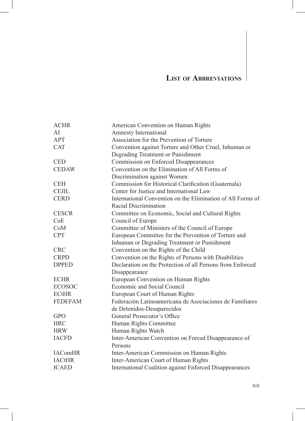# **List of Abbreviations**

| <b>ACHR</b>    | American Convention on Human Rights                         |
|----------------|-------------------------------------------------------------|
| AI             | <b>Amnesty International</b>                                |
| <b>APT</b>     | Association for the Prevention of Torture                   |
| <b>CAT</b>     | Convention against Torture and Other Cruel, Inhuman or      |
|                | Degrading Treatment or Punishment                           |
| <b>CED</b>     | Commission on Enforced Disappearances                       |
| <b>CEDAW</b>   | Convention on the Elimination of All Forms of               |
|                | Discrimination against Women                                |
| <b>CEH</b>     | Commission for Historical Clarification (Guatemala)         |
| <b>CEJIL</b>   | Center for Justice and International Law                    |
| <b>CERD</b>    | International Convention on the Elimination of All Forms of |
|                | Racial Discrimination                                       |
| <b>CESCR</b>   | Committee on Economic, Social and Cultural Rights           |
| CoE            | Council of Europe                                           |
| CoM            | Committee of Ministers of the Council of Europe             |
| <b>CPT</b>     | European Committee for the Prevention of Torture and        |
|                | Inhuman or Degrading Treatment or Punishment                |
| <b>CRC</b>     | Convention on the Rights of the Child                       |
| <b>CRPD</b>    | Convention on the Rights of Persons with Disabilities       |
| <b>DPPED</b>   | Declaration on the Protection of all Persons from Enforced  |
|                | Disappearance                                               |
| <b>ECHR</b>    | European Convention on Human Rights                         |
| <b>ECOSOC</b>  | Economic and Social Council                                 |
| <b>ECtHR</b>   | European Court of Human Rights                              |
| <b>FEDEFAM</b> | Federación Latinoamericana de Asociaciones de Familiares    |
|                | de Detenidos-Desaparecidos                                  |
| <b>GPO</b>     | General Prosecutor's Office                                 |
| <b>HRC</b>     | Human Rights Committee                                      |
| <b>HRW</b>     | Human Rights Watch                                          |
| <b>IACFD</b>   | Inter-American Convention on Forced Disappearance of        |
|                | Persons                                                     |
| <b>IAComHR</b> | Inter-American Commission on Human Rights                   |
| <b>IACtHR</b>  | Inter-American Court of Human Rights                        |
| <b>ICAED</b>   | International Coalition against Enforced Disappearances     |